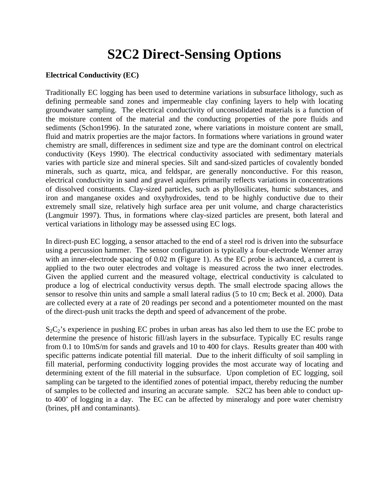## **S2C2 Direct-Sensing Options**

#### **Electrical Conductivity (EC)**

Traditionally EC logging has been used to determine variations in subsurface lithology, such as defining permeable sand zones and impermeable clay confining layers to help with locating groundwater sampling. The electrical conductivity of unconsolidated materials is a function of the moisture content of the material and the conducting properties of the pore fluids and sediments (Schon1996). In the saturated zone, where variations in moisture content are small, fluid and matrix properties are the major factors. In formations where variations in ground water chemistry are small, differences in sediment size and type are the dominant control on electrical conductivity (Keys 1990). The electrical conductivity associated with sedimentary materials varies with particle size and mineral species. Silt and sand-sized particles of covalently bonded minerals, such as quartz, mica, and feldspar, are generally nonconductive. For this reason, electrical conductivity in sand and gravel aquifers primarily reflects variations in concentrations of dissolved constituents. Clay-sized particles, such as phyllosilicates, humic substances, and iron and manganese oxides and oxyhydroxides, tend to be highly conductive due to their extremely small size, relatively high surface area per unit volume, and charge characteristics (Langmuir 1997). Thus, in formations where clay-sized particles are present, both lateral and vertical variations in lithology may be assessed using EC logs.

In direct-push EC logging, a sensor attached to the end of a steel rod is driven into the subsurface using a percussion hammer. The sensor configuration is typically a four-electrode Wenner array with an inner-electrode spacing of 0.02 m (Figure 1). As the EC probe is advanced, a current is applied to the two outer electrodes and voltage is measured across the two inner electrodes. Given the applied current and the measured voltage, electrical conductivity is calculated to produce a log of electrical conductivity versus depth. The small electrode spacing allows the sensor to resolve thin units and sample a small lateral radius (5 to 10 cm; Beck et al. 2000). Data are collected every at a rate of 20 readings per second and a potentiometer mounted on the mast of the direct-push unit tracks the depth and speed of advancement of the probe.

 $S_2C_2$ 's experience in pushing EC probes in urban areas has also led them to use the EC probe to determine the presence of historic fill/ash layers in the subsurface. Typically EC results range from 0.1 to 10mS/m for sands and gravels and 10 to 400 for clays. Results greater than 400 with specific patterns indicate potential fill material. Due to the inherit difficulty of soil sampling in fill material, performing conductivity logging provides the most accurate way of locating and determining extent of the fill material in the subsurface. Upon completion of EC logging, soil sampling can be targeted to the identified zones of potential impact, thereby reducing the number of samples to be collected and insuring an accurate sample. S2C2 has been able to conduct upto 400' of logging in a day. The EC can be affected by mineralogy and pore water chemistry (brines, pH and contaminants).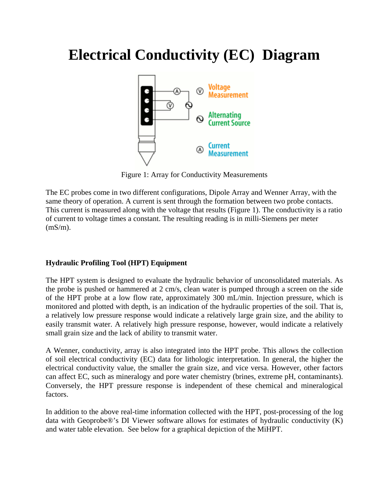# **Electrical Conductivity (EC) Diagram**



Figure 1: Array for Conductivity Measurements

The EC probes come in two different configurations, Dipole Array and Wenner Array, with the same theory of operation. A current is sent through the formation between two probe contacts. This current is measured along with the voltage that results (Figure 1). The conductivity is a ratio of current to voltage times a constant. The resulting reading is in milli-Siemens per meter (mS/m).

### **Hydraulic Profiling Tool (HPT) Equipment**

The HPT system is designed to evaluate the hydraulic behavior of unconsolidated materials. As the probe is pushed or hammered at 2 cm/s, clean water is pumped through a screen on the side of the HPT probe at a low flow rate, approximately 300 mL/min. Injection pressure, which is monitored and plotted with depth, is an indication of the hydraulic properties of the soil. That is, a relatively low pressure response would indicate a relatively large grain size, and the ability to easily transmit water. A relatively high pressure response, however, would indicate a relatively small grain size and the lack of ability to transmit water.

A Wenner, conductivity, array is also integrated into the HPT probe. This allows the collection of soil electrical conductivity (EC) data for lithologic interpretation. In general, the higher the electrical conductivity value, the smaller the grain size, and vice versa. However, other factors can affect EC, such as mineralogy and pore water chemistry (brines, extreme pH, contaminants). Conversely, the HPT pressure response is independent of these chemical and mineralogical factors.

In addition to the above real-time information collected with the HPT, post-processing of the log data with Geoprobe®'s DI Viewer software allows for estimates of hydraulic conductivity (K) and water table elevation. See below for a graphical depiction of the MiHPT.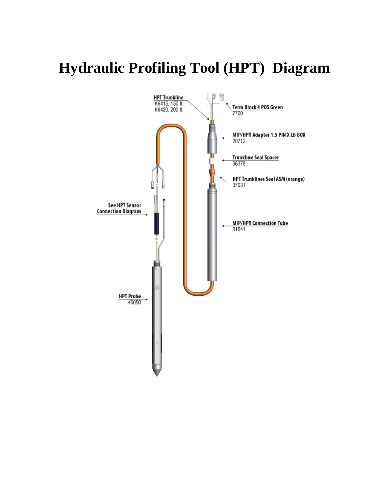# **Hydraulic Profiling Tool (HPT) Diagram**

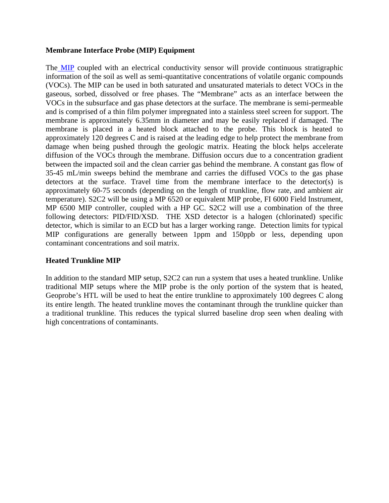#### **Membrane Interface Probe (MIP) Equipment**

The MIP coupled with an electrical conductivity sensor will provide continuous stratigraphic information of the soil as well as semi-quantitative concentrations of volatile organic compounds (VOCs). The MIP can be used in both saturated and unsaturated materials to detect VOCs in the gaseous, sorbed, dissolved or free phases. The "Membrane" acts as an interface between the VOCs in the subsurface and gas phase detectors at the surface. The membrane is semi-permeable and is comprised of a thin film polymer impregnated into a stainless steel screen for support. The membrane is approximately 6.35mm in diameter and may be easily replaced if damaged. The membrane is placed in a heated block attached to the probe. This block is heated to approximately 120 degrees C and is raised at the leading edge to help protect the membrane from damage when being pushed through the geologic matrix. Heating the block helps accelerate diffusion of the VOCs through the membrane. Diffusion occurs due to a concentration gradient between the impacted soil and the clean carrier gas behind the membrane. A constant gas flow of 35-45 mL/min sweeps behind the membrane and carries the diffused VOCs to the gas phase detectors at the surface. Travel time from the membrane interface to the detector(s) is approximately 60-75 seconds (depending on the length of trunkline, flow rate, and ambient air temperature). S2C2 will be using a MP 6520 or equivalent MIP probe, FI 6000 Field Instrument, MP 6500 MIP controller, coupled with a HP GC. S2C2 will use a combination of the three following detectors: PID/FID/XSD. THE XSD detector is a halogen (chlorinated) specific detector, which is similar to an ECD but has a larger working range. Detection limits for typical MIP configurations are generally between 1ppm and 150ppb or less, depending upon contaminant concentrations and soil matrix.

### **Heated Trunkline MIP**

In addition to the standard MIP setup, S2C2 can run a system that uses a heated trunkline. Unlike traditional MIP setups where the MIP probe is the only portion of the system that is heated, Geoprobe's HTL will be used to heat the entire trunkline to approximately 100 degrees C along its entire length. The heated trunkline moves the contaminant through the trunkline quicker than a traditional trunkline. This reduces the typical slurred baseline drop seen when dealing with high concentrations of contaminants.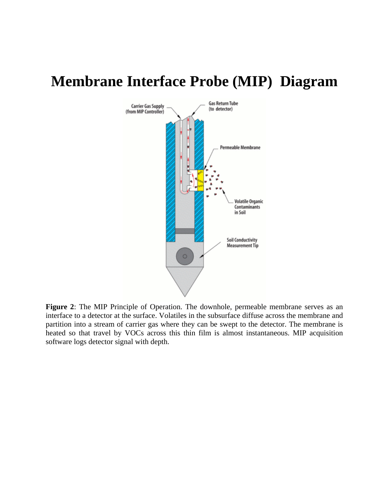## **Membrane Interface Probe (MIP) Diagram**



**Figure 2**: The MIP Principle of Operation. The downhole, permeable membrane serves as an interface to a detector at the surface. Volatiles in the subsurface diffuse across the membrane and partition into a stream of carrier gas where they can be swept to the detector. The membrane is heated so that travel by VOCs across this thin film is almost instantaneous. MIP acquisition software logs detector signal with depth.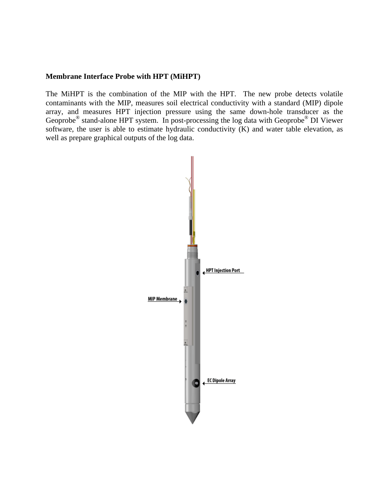#### **Membrane Interface Probe with HPT (MiHPT)**

The MiHPT is the combination of the MIP with the HPT. The new probe detects volatile contaminants with the MIP, measures soil electrical conductivity with a standard (MIP) dipole array, and measures HPT injection pressure using the same down-hole transducer as the Geoprobe® stand-alone HPT system. In post-processing the log data with Geoprobe® DI Viewer software, the user is able to estimate hydraulic conductivity  $(K)$  and water table elevation, as well as prepare graphical outputs of the log data.

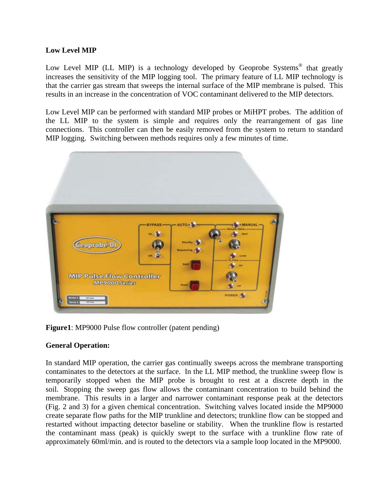### **Low Level MIP**

Low Level MIP (LL MIP) is a technology developed by Geoprobe Systems<sup>®</sup> that greatly increases the sensitivity of the MIP logging tool. The primary feature of LL MIP technology is that the carrier gas stream that sweeps the internal surface of the MIP membrane is pulsed. This results in an increase in the concentration of VOC contaminant delivered to the MIP detectors.

Low Level MIP can be performed with standard MIP probes or MiHPT probes. The addition of the LL MIP to the system is simple and requires only the rearrangement of gas line connections. This controller can then be easily removed from the system to return to standard MIP logging. Switching between methods requires only a few minutes of time.



**Figure1**: MP9000 Pulse flow controller (patent pending)

### **General Operation:**

In standard MIP operation, the carrier gas continually sweeps across the membrane transporting contaminates to the detectors at the surface. In the LL MIP method, the trunkline sweep flow is temporarily stopped when the MIP probe is brought to rest at a discrete depth in the soil. Stopping the sweep gas flow allows the contaminant concentration to build behind the membrane. This results in a larger and narrower contaminant response peak at the detectors (Fig. 2 and 3) for a given chemical concentration. Switching valves located inside the MP9000 create separate flow paths for the MIP trunkline and detectors; trunkline flow can be stopped and restarted without impacting detector baseline or stability. When the trunkline flow is restarted the contaminant mass (peak) is quickly swept to the surface with a trunkline flow rate of approximately 60ml/min. and is routed to the detectors via a sample loop located in the MP9000.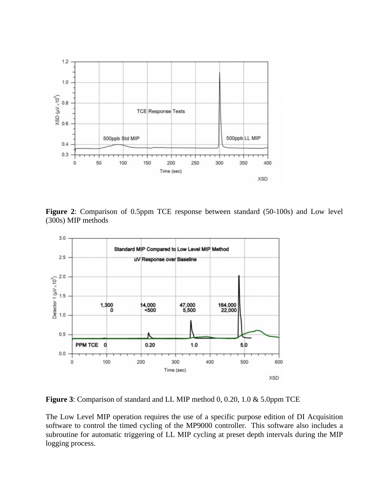

**Figure 2**: Comparison of 0.5ppm TCE response between standard (50-100s) and Low level (300s) MIP methods



**Figure 3**: Comparison of standard and LL MIP method 0, 0.20, 1.0 & 5.0ppm TCE

The Low Level MIP operation requires the use of a specific purpose edition of DI Acquisition software to control the timed cycling of the MP9000 controller. This software also includes a subroutine for automatic triggering of LL MIP cycling at preset depth intervals during the MIP logging process.